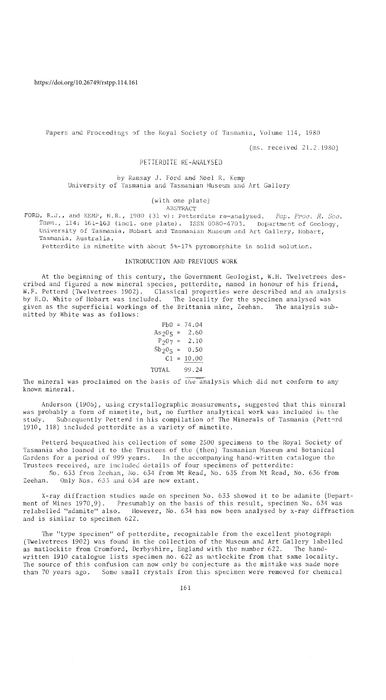Papers and Proceedings of the Royal Society of Tasmania, Volume 114, 1980

(ms. received 21.2.1980)

# PETTERDITE RE-ANALYSED

by Ramsay J. Ford and Noel R. Kemp University of Tasmania and Tasmanian Museum and Art Gallery

### (with one plate)

### ABSTRACT

FORD, R.J., and KEMP, N.R., 1980 (31 v): Petterdite re-analysed. *Pap. Proc. R. Soc. Tasm.,* 114: 161-163 (incl. one plate). ISSN 0080-4703. Department of Geology, University of Tasmania, Hobart and Tasmanian Museum and Art Gallery, Hobart, **Tasmania, Australia.** 

Petterdite is mimetite with about 5%-17% pyromorphite in solid solution.

#### INTRODUCTION AND PREVIOUS WORK

At the beginning of this century, the Government Geologist, W.H. 1welvetrees described and figured a new mineral species, petterdite, named in honour of his friend, W.F. Petterd (Twelvetrees 1902). Classical properties were described and an analysis by E.O. White of Hobart was included. The locality for the specimen analysed was given as the superficial workings of the Brittania mine, Zeehan. The analysis submitted by White was as follows:

> $Pb0 = 74.04$  $As_2O_5 = 2.60$  $P_207 = 2.10$  $Sb_2^2O_5 = 0.50$  $C1 = 10.00$ TOTAL 99.24

The mineral was proclaimed on the basis of the analysis which did not conform to any known mineral.

Anderson (1906), using crystallographic measurements, suggested that this mineral was probably a form of mimetite, but, no further analytical work was included in the study. Subsequently Petterd in his compilation of The Minerals of Tasmania (Pettard 1910, 118) included petterdite as a variety of mimetite.

Petterd bequeathed his collection of some 2500 specimens to the Royal Society of Tasmania who loaned it to the Trustees of the (then) Tasmanian Museum and Botanical Gardens for a period of 999 years. In the accompanying hand-written catalogue the Trustees received, are included details of four specimens of petterdite: No. 633 from Zeehan, No. 634 from Mt Read, No. 635 from Mt Read, No. 636 from

Zeehan. Only Nos. 633 and 634 are now extant.

X-ray diffraction studies made on specimen No. 633 showed it to be adamite (Department of Mines 1970,9). Presumably on the basis of this result, specimen No. 634 was relabelled "adamite" also. However, No. 634 has now been analysed by x-ray diffraction and is similar to specimen 622.

The "type specimen" of petterdite, recognizable from the excellent photograph (Twelvetrees 1902) was found in the collection of the Museum and Art Gallery labelled as matlockite from Cromford, Derbyshire, England with the number 622. The handwritten 1910 catalogue lists specimen no. 622 as matlockite from that same locality. The source of this confusion can now only be conjecture as the mistake was made more than 70 years ago. Some small crystals from this specimen were removed for chemical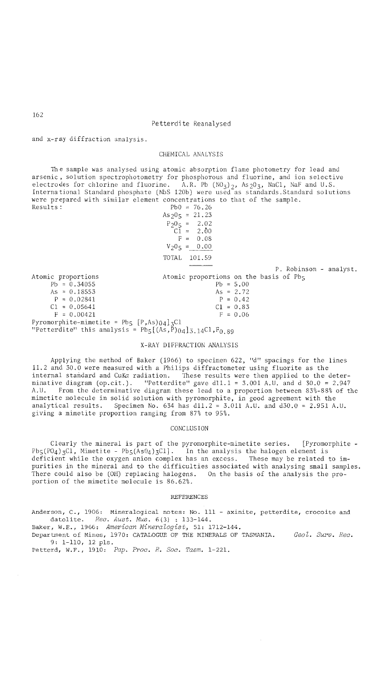### Petterdite Reanalysed

and x-ray diffraction analysis.

## CHEMICAL ANALYSIS

Th e sample was analysed using atomic absorption flame photometry for lead and arsenic, solution spectrophotometry for phosphorous and fluorine, and ion selective electrodes for chlorine and fluorine. A.R. Pb (NO<sub>3</sub>)<sub>2</sub>, As<sub>2</sub>O<sub>3</sub>, NaC1, NaF and U.S.<br>International Standard phosphate (NbS 120b) were used as standards.Standard solutions were prepared with similar element concentrations to that of the sample.<br>Results:<br> $p_{b0} = 76.26$  $Pb0 = 76.26$ 

Atomic proportions  $Pb = 0.34055$ As =  $0.18553$  $P = 0.02841$  $C1 = 0.05641$  $F = 0.00421$  $As<sub>2</sub>0<sub>5</sub> = 21.23$  $P_2O_5 = 2.02$ <br>C1 = 2.00  $2.00$  $F = 0.08$  $V_20_5 = 0.00$ TOTAL 101.59 Atomic proportions on the basis of Pb<sub>5</sub>  $Pb = 5.00$ As =  $2.72$  $P = 0.42$  $C1 = 0.83$  $F = 0.06$ Pyromorphite-mimetite = Pb5  $[P, As]$ 04]3Cl "Petterdite" this analysis =  $Pb_5[(A^3, P)_{04}]_{3,14}$ Cl,  $F_{0,89}$ P. Robinson - analyst.

### X-RAY DIFFRACTION ANALYSIS

Applying the method of Baker (1966) to specimen 622, "d" spacings for the lines 11.2 and 30.0 were measured with a Philips diffractometer using fluorite as the internal standard and CuKa radiation. These results were then applied to the determinative diagram (op.cit.). "Petterdite" gave dl1.1 = 3.001 A.U. and d 30.0 = 2.947 A.U. From the determinative diagram these lead to a proportion between 83%-88% of the mimetite molecule in solid solution with pyromorphite, in good agreement with the analytical results. Specimen No. 634 has  $d11.2 = 3.011$  A.U. and  $d30.0 = 2.951$  A.U. giving a mimetite proportion ranging from 87% to 95%.

#### CONCLUSION

Clearly the mineral is part of the pyromorphite-mimetite series. [Pyromorphite  $Pb_5(P0_4)$ <sub>3</sub>Cl, Mimetite -  $Pb_5(As0_4)$ <sub>3</sub>Cl]. In the analysis the halogen element is deficient while the oxygen anion complex has an excess. These may be related to impurities in the mineral and to the difficulties associated with analysing small samples.<br>There could also be (OH) replacing halogens. On the basis of the analysis the pro-There could also be (OH) replacing halogens. portion of the mimetite molecule is 86.62%.

#### REFERENCES

Anderson, C., 1906: Mineralogical notes: No. 111 - axinite, petterdite, crocoite and datolite. *Rec. Aust. Mus.* 6(3) : 133-144.

Baker, W.E., 1966: *American Mineralogist,* 51: 1712-144.

Department of Mines, 1970: CATALOGUE OF THE MINERALS OF TASMANIA. *Geol. Surv. Rec.*  9: 1-110, 12 pIs.

Petterd, W.F., 1910: *Pap. Proc. R. Soc. Tasm. 1-221.* 

162